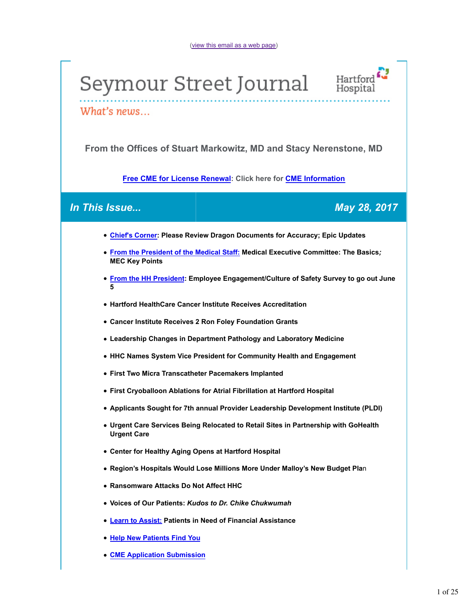# Seymour Street Journal



What's news...

**From the Offices of Stuart Markowitz, MD and Stacy Nerenstone, MD**

**Free CME for License Renewal: Click here for CME Information**

## *In This Issue... May 28, 2017*

- **Chief's Corner: Please Review Dragon Documents for Accuracy; Epic Updates**
- **From the President of the Medical Staff: Medical Executive Committee: The Basics***;* **MEC Key Points**
- **From the HH President: Employee Engagement/Culture of Safety Survey to go out June 5**
- **Hartford HealthCare Cancer Institute Receives Accreditation**
- **Cancer Institute Receives 2 Ron Foley Foundation Grants**
- **Leadership Changes in Department Pathology and Laboratory Medicine**
- **HHC Names System Vice President for Community Health and Engagement**
- **First Two Micra Transcatheter Pacemakers Implanted**
- **First Cryoballoon Ablations for Atrial Fibrillation at Hartford Hospital**
- **Applicants Sought for 7th annual Provider Leadership Development Institute (PLDI)**
- **Urgent Care Services Being Relocated to Retail Sites in Partnership with GoHealth Urgent Care**
- **Center for Healthy Aging Opens at Hartford Hospital**
- **Region's Hospitals Would Lose Millions More Under Malloy's New Budget Pla**n
- **Ransomware Attacks Do Not Affect HHC**
- **Voices of Our Patients:** *Kudos to Dr. Chike Chukwumah*
- **Learn to Assist: Patients in Need of Financial Assistance**
- **Help New Patients Find You**
- **CME Application Submission**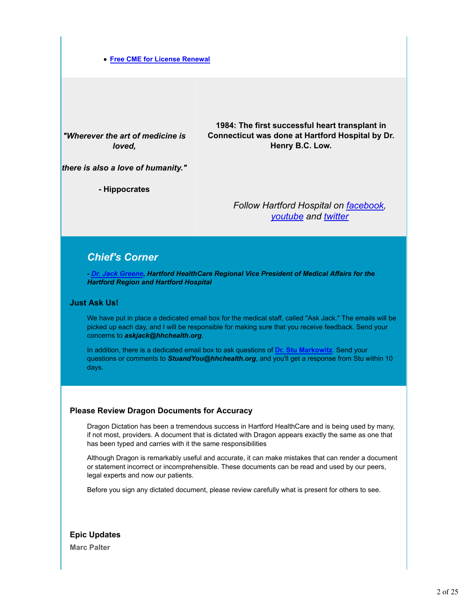#### **Free CME for License Renewal**

*"Wherever the art of medicine is loved,*

**1984: The first successful heart transplant in Connecticut was done at Hartford Hospital by Dr. Henry B.C. Low.**

*there is also a love of humanity."*

**- Hippocrates**

*Follow Hartford Hospital on facebook, youtube and twitter*

## *Chief's Corner*

*- Dr. Jack Greene, Hartford HealthCare Regional Vice President of Medical Affairs for the Hartford Region and Hartford Hospital*

#### **Just Ask Us!**

We have put in place a dedicated email box for the medical staff, called "Ask Jack." The emails will be picked up each day, and I will be responsible for making sure that you receive feedback. Send your concerns to *askjack@hhchealth.org*.

In addition, there is a dedicated email box to ask questions of **Dr. Stu Markowitz**. Send your questions or comments to *StuandYou@hhchealth.org*, and you'll get a response from Stu within 10 days.

#### **Please Review Dragon Documents for Accuracy**

Dragon Dictation has been a tremendous success in Hartford HealthCare and is being used by many, if not most, providers. A document that is dictated with Dragon appears exactly the same as one that has been typed and carries with it the same responsibilities

Although Dragon is remarkably useful and accurate, it can make mistakes that can render a document or statement incorrect or incomprehensible. These documents can be read and used by our peers, legal experts and now our patients.

Before you sign any dictated document, please review carefully what is present for others to see.

**Epic Updates Marc Palter**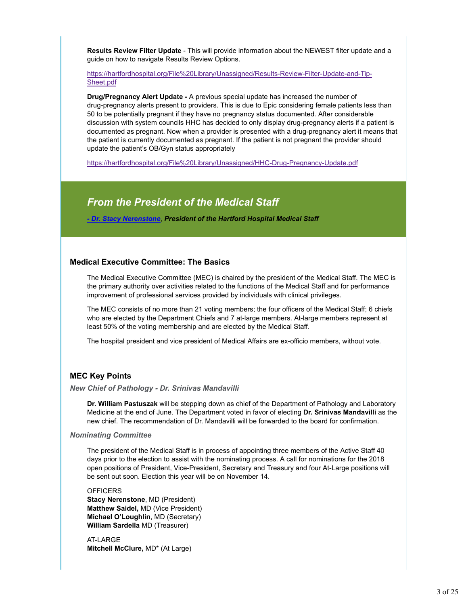**Results Review Filter Update** - This will provide information about the NEWEST filter update and a guide on how to navigate Results Review Options.

https://hartfordhospital.org/File%20Library/Unassigned/Results-Review-Filter-Update-and-Tip-Sheet.pdf

**Drug/Pregnancy Alert Update -** A previous special update has increased the number of drug-pregnancy alerts present to providers. This is due to Epic considering female patients less than 50 to be potentially pregnant if they have no pregnancy status documented. After considerable discussion with system councils HHC has decided to only display drug-pregnancy alerts if a patient is documented as pregnant. Now when a provider is presented with a drug-pregnancy alert it means that the patient is currently documented as pregnant. If the patient is not pregnant the provider should update the patient's OB/Gyn status appropriately

https://hartfordhospital.org/File%20Library/Unassigned/HHC-Drug-Pregnancy-Update.pdf

## *From the President of the Medical Staff*

*- Dr. Stacy Nerenstone*, *President of the Hartford Hospital Medical Staff*

#### **Medical Executive Committee: The Basics**

The Medical Executive Committee (MEC) is chaired by the president of the Medical Staff. The MEC is the primary authority over activities related to the functions of the Medical Staff and for performance improvement of professional services provided by individuals with clinical privileges.

The MEC consists of no more than 21 voting members; the four officers of the Medical Staff; 6 chiefs who are elected by the Department Chiefs and 7 at-large members. At-large members represent at least 50% of the voting membership and are elected by the Medical Staff.

The hospital president and vice president of Medical Affairs are ex-officio members, without vote.

#### **MEC Key Points**

#### *New Chief of Pathology - Dr. Srinivas Mandavilli*

**Dr. William Pastuszak** will be stepping down as chief of the Department of Pathology and Laboratory Medicine at the end of June. The Department voted in favor of electing **Dr. Srinivas Mandavilli** as the new chief. The recommendation of Dr. Mandavilli will be forwarded to the board for confirmation.

#### *Nominating Committee*

The president of the Medical Staff is in process of appointing three members of the Active Staff 40 days prior to the election to assist with the nominating process. A call for nominations for the 2018 open positions of President, Vice-President, Secretary and Treasury and four At-Large positions will be sent out soon. Election this year will be on November 14.

#### **OFFICERS**

**Stacy Nerenstone**, MD (President) **Matthew Saidel,** MD (Vice President) **Michael O'Loughlin**, MD (Secretary) **William Sardella** MD (Treasurer)

AT-LARGE **Mitchell McClure,** MD\* (At Large)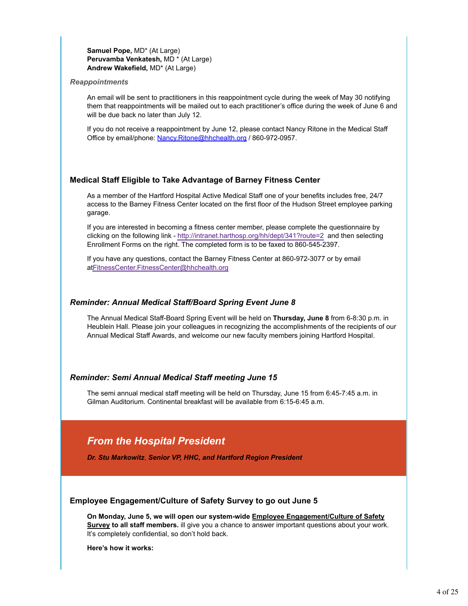#### **Samuel Pope,** MD\* (At Large) **Peruvamba Venkatesh,** MD \* (At Large) **Andrew Wakefield,** MD\* (At Large)

#### *Reappointments*

An email will be sent to practitioners in this reappointment cycle during the week of May 30 notifying them that reappointments will be mailed out to each practitioner's office during the week of June 6 and will be due back no later than July 12.

If you do not receive a reappointment by June 12, please contact Nancy Ritone in the Medical Staff Office by email/phone: Nancy.Ritone@hhchealth.org / 860-972-0957.

#### **Medical Staff Eligible to Take Advantage of Barney Fitness Center**

As a member of the Hartford Hospital Active Medical Staff one of your benefits includes free, 24/7 access to the Barney Fitness Center located on the first floor of the Hudson Street employee parking garage.

If you are interested in becoming a fitness center member, please complete the questionnaire by clicking on the following link - http://intranet.harthosp.org/hh/dept/341?route=2 and then selecting Enrollment Forms on the right. The completed form is to be faxed to 860-545-2397.

If you have any questions, contact the Barney Fitness Center at 860-972-3077 or by email atFitnessCenter.FitnessCenter@hhchealth.org

#### *Reminder: Annual Medical Staff/Board Spring Event June 8*

The Annual Medical Staff-Board Spring Event will be held on **Thursday, June 8** from 6-8:30 p.m. in Heublein Hall. Please join your colleagues in recognizing the accomplishments of the recipients of our Annual Medical Staff Awards, and welcome our new faculty members joining Hartford Hospital.

#### *Reminder: Semi Annual Medical Staff meeting June 15*

The semi annual medical staff meeting will be held on Thursday, June 15 from 6:45-7:45 a.m. in Gilman Auditorium. Continental breakfast will be available from 6:15-6:45 a.m.

## *From the Hospital President*

*Dr. Stu Markowitz*, *Senior VP, HHC, and Hartford Region President*

#### **Employee Engagement/Culture of Safety Survey to go out June 5**

**On Monday, June 5, we will open our system-wide Employee Engagement/Culture of Safety Survey to all staff members.** ill give you a chance to answer important questions about your work. It's completely confidential, so don't hold back.

**Here's how it works:**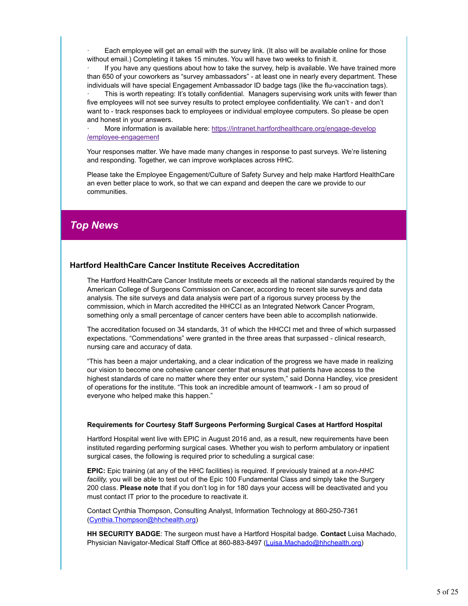Each employee will get an email with the survey link. (It also will be available online for those without email.) Completing it takes 15 minutes. You will have two weeks to finish it.

If you have any questions about how to take the survey, help is available. We have trained more than 650 of your coworkers as "survey ambassadors" - at least one in nearly every department. These individuals will have special Engagement Ambassador ID badge tags (like the flu-vaccination tags).

This is worth repeating: It's totally confidential. Managers supervising work units with fewer than five employees will not see survey results to protect employee confidentiality. We can't - and don't want to - track responses back to employees or individual employee computers. So please be open and honest in your answers.

· More information is available here: https://intranet.hartfordhealthcare.org/engage-develop /employee-engagement

Your responses matter. We have made many changes in response to past surveys. We're listening and responding. Together, we can improve workplaces across HHC.

Please take the Employee Engagement/Culture of Safety Survey and help make Hartford HealthCare an even better place to work, so that we can expand and deepen the care we provide to our communities.

## *Top News*

#### **Hartford HealthCare Cancer Institute Receives Accreditation**

The Hartford HealthCare Cancer Institute meets or exceeds all the national standards required by the American College of Surgeons Commission on Cancer, according to recent site surveys and data analysis. The site surveys and data analysis were part of a rigorous survey process by the commission, which in March accredited the HHCCI as an Integrated Network Cancer Program, something only a small percentage of cancer centers have been able to accomplish nationwide.

The accreditation focused on 34 standards, 31 of which the HHCCI met and three of which surpassed expectations. "Commendations" were granted in the three areas that surpassed - clinical research, nursing care and accuracy of data.

"This has been a major undertaking, and a clear indication of the progress we have made in realizing our vision to become one cohesive cancer center that ensures that patients have access to the highest standards of care no matter where they enter our system," said Donna Handley, vice president of operations for the institute. "This took an incredible amount of teamwork - I am so proud of everyone who helped make this happen."

#### **Requirements for Courtesy Staff Surgeons Performing Surgical Cases at Hartford Hospital**

Hartford Hospital went live with EPIC in August 2016 and, as a result, new requirements have been instituted regarding performing surgical cases. Whether you wish to perform ambulatory or inpatient surgical cases, the following is required prior to scheduling a surgical case:

**EPIC:** Epic training (at any of the HHC facilities) is required. If previously trained at a *non-HHC facility,* you will be able to test out of the Epic 100 Fundamental Class and simply take the Surgery 200 class. **Please note** that if you don't log in for 180 days your access will be deactivated and you must contact IT prior to the procedure to reactivate it.

Contact Cynthia Thompson, Consulting Analyst, Information Technology at 860-250-7361 (Cynthia.Thompson@hhchealth.org)

**HH SECURITY BADGE**: The surgeon must have a Hartford Hospital badge. **Contact** Luisa Machado, Physician Navigator-Medical Staff Office at 860-883-8497 (Luisa.Machado@hhchealth.org)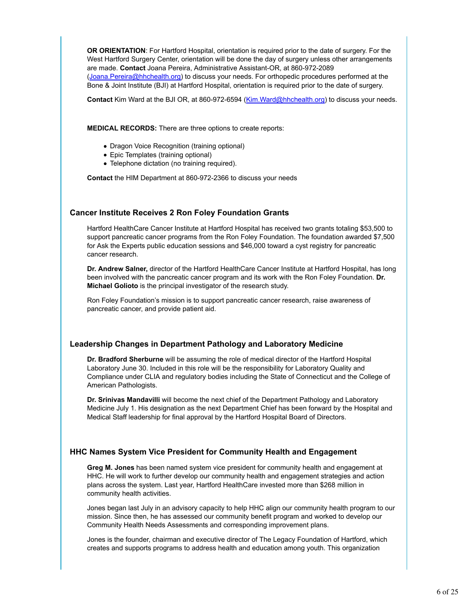**OR ORIENTATION**: For Hartford Hospital, orientation is required prior to the date of surgery. For the West Hartford Surgery Center, orientation will be done the day of surgery unless other arrangements are made. **Contact** Joana Pereira, Administrative Assistant-OR, at 860-972-2089 (Joana.Pereira@hhchealth.org) to discuss your needs. For orthopedic procedures performed at the Bone & Joint Institute (BJI) at Hartford Hospital, orientation is required prior to the date of surgery.

**Contact** Kim Ward at the BJI OR, at 860-972-6594 (Kim.Ward@hhchealth.org) to discuss your needs.

**MEDICAL RECORDS:** There are three options to create reports:

- Dragon Voice Recognition (training optional)
- Epic Templates (training optional)
- Telephone dictation (no training required).

**Contact** the HIM Department at 860-972-2366 to discuss your needs

#### **Cancer Institute Receives 2 Ron Foley Foundation Grants**

Hartford HealthCare Cancer Institute at Hartford Hospital has received two grants totaling \$53,500 to support pancreatic cancer programs from the Ron Foley Foundation. The foundation awarded \$7,500 for Ask the Experts public education sessions and \$46,000 toward a cyst registry for pancreatic cancer research.

**Dr. Andrew Salner,** director of the Hartford HealthCare Cancer Institute at Hartford Hospital, has long been involved with the pancreatic cancer program and its work with the Ron Foley Foundation. **Dr. Michael Golioto** is the principal investigator of the research study.

Ron Foley Foundation's mission is to support pancreatic cancer research, raise awareness of pancreatic cancer, and provide patient aid.

#### **Leadership Changes in Department Pathology and Laboratory Medicine**

**Dr. Bradford Sherburne** will be assuming the role of medical director of the Hartford Hospital Laboratory June 30. Included in this role will be the responsibility for Laboratory Quality and Compliance under CLIA and regulatory bodies including the State of Connecticut and the College of American Pathologists.

**Dr. Srinivas Mandavilli** will become the next chief of the Department Pathology and Laboratory Medicine July 1. His designation as the next Department Chief has been forward by the Hospital and Medical Staff leadership for final approval by the Hartford Hospital Board of Directors.

#### **HHC Names System Vice President for Community Health and Engagement**

**Greg M. Jones** has been named system vice president for community health and engagement at HHC. He will work to further develop our community health and engagement strategies and action plans across the system. Last year, Hartford HealthCare invested more than \$268 million in community health activities.

Jones began last July in an advisory capacity to help HHC align our community health program to our mission. Since then, he has assessed our community benefit program and worked to develop our Community Health Needs Assessments and corresponding improvement plans.

Jones is the founder, chairman and executive director of The Legacy Foundation of Hartford, which creates and supports programs to address health and education among youth. This organization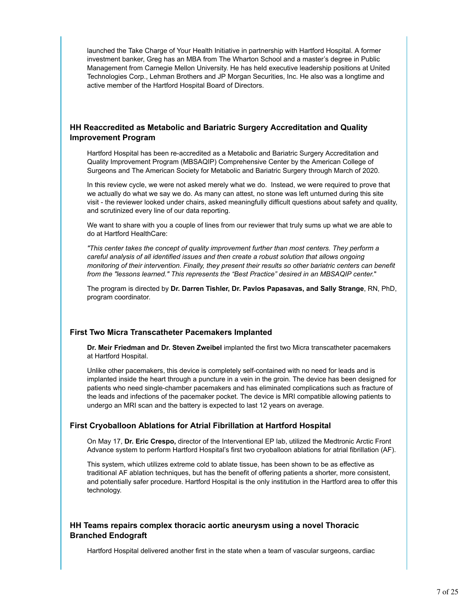launched the Take Charge of Your Health Initiative in partnership with Hartford Hospital. A former investment banker, Greg has an MBA from The Wharton School and a master's degree in Public Management from Carnegie Mellon University. He has held executive leadership positions at United Technologies Corp., Lehman Brothers and JP Morgan Securities, Inc. He also was a longtime and active member of the Hartford Hospital Board of Directors.

#### **HH Reaccredited as Metabolic and Bariatric Surgery Accreditation and Quality Improvement Program**

Hartford Hospital has been re-accredited as a Metabolic and Bariatric Surgery Accreditation and Quality Improvement Program (MBSAQIP) Comprehensive Center by the American College of Surgeons and The American Society for Metabolic and Bariatric Surgery through March of 2020.

In this review cycle, we were not asked merely what we do. Instead, we were required to prove that we actually do what we say we do. As many can attest, no stone was left unturned during this site visit - the reviewer looked under chairs, asked meaningfully difficult questions about safety and quality, and scrutinized every line of our data reporting.

We want to share with you a couple of lines from our reviewer that truly sums up what we are able to do at Hartford HealthCare:

*"This center takes the concept of quality improvement further than most centers. They perform a careful analysis of all identified issues and then create a robust solution that allows ongoing monitoring of their intervention. Finally, they present their results so other bariatric centers can benefit from the "lessons learned." This represents the "Best Practice" desired in an MBSAQIP center.*"

The program is directed by **Dr. Darren Tishler, Dr. Pavlos Papasavas, and Sally Strange**, RN, PhD, program coordinator.

#### **First Two Micra Transcatheter Pacemakers Implanted**

**Dr. Meir Friedman and Dr. Steven Zweibel** implanted the first two Micra transcatheter pacemakers at Hartford Hospital.

Unlike other pacemakers, this device is completely self-contained with no need for leads and is implanted inside the heart through a puncture in a vein in the groin. The device has been designed for patients who need single-chamber pacemakers and has eliminated complications such as fracture of the leads and infections of the pacemaker pocket. The device is MRI compatible allowing patients to undergo an MRI scan and the battery is expected to last 12 years on average.

#### **First Cryoballoon Ablations for Atrial Fibrillation at Hartford Hospital**

On May 17, **Dr. Eric Crespo,** director of the Interventional EP lab, utilized the Medtronic Arctic Front Advance system to perform Hartford Hospital's first two cryoballoon ablations for atrial fibrillation (AF).

This system, which utilizes extreme cold to ablate tissue, has been shown to be as effective as traditional AF ablation techniques, but has the benefit of offering patients a shorter, more consistent, and potentially safer procedure. Hartford Hospital is the only institution in the Hartford area to offer this technology.

#### **HH Teams repairs complex thoracic aortic aneurysm using a novel Thoracic Branched Endograft**

Hartford Hospital delivered another first in the state when a team of vascular surgeons, cardiac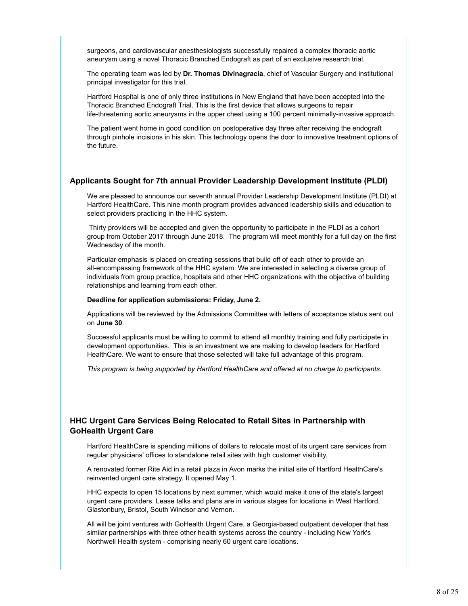surgeons, and cardiovascular anesthesiologists successfully repaired a complex thoracic aortic aneurysm using a novel Thoracic Branched Endograft as part of an exclusive research trial.

The operating team was led by **Dr. Thomas Divinagracia**, chief of Vascular Surgery and institutional principal investigator for this trial.

Hartford Hospital is one of only three institutions in New England that have been accepted into the Thoracic Branched Endograft Trial. This is the first device that allows surgeons to repair life-threatening aortic aneurysms in the upper chest using a 100 percent minimally-invasive approach.

The patient went home in good condition on postoperative day three after receiving the endograft through pinhole incisions in his skin. This technology opens the door to innovative treatment options of the future.

#### **Applicants Sought for 7th annual Provider Leadership Development Institute (PLDI)**

We are pleased to announce our seventh annual Provider Leadership Development Institute (PLDI) at Hartford HealthCare. This nine month program provides advanced leadership skills and education to select providers practicing in the HHC system.

 Thirty providers will be accepted and given the opportunity to participate in the PLDI as a cohort group from October 2017 through June 2018. The program will meet monthly for a full day on the first Wednesday of the month.

Particular emphasis is placed on creating sessions that build off of each other to provide an all-encompassing framework of the HHC system. We are interested in selecting a diverse group of individuals from group practice, hospitals and other HHC organizations with the objective of building relationships and learning from each other.

#### **Deadline for application submissions: Friday, June 2.**

Applications will be reviewed by the Admissions Committee with letters of acceptance status sent out on **June 30**.

Successful applicants must be willing to commit to attend all monthly training and fully participate in development opportunities. This is an investment we are making to develop leaders for Hartford HealthCare. We want to ensure that those selected will take full advantage of this program.

*This program is being supported by Hartford HealthCare and offered at no charge to participants.* 

### **HHC Urgent Care Services Being Relocated to Retail Sites in Partnership with GoHealth Urgent Care**

Hartford HealthCare is spending millions of dollars to relocate most of its urgent care services from regular physicians' offices to standalone retail sites with high customer visibility.

A renovated former Rite Aid in a retail plaza in Avon marks the initial site of Hartford HealthCare's reinvented urgent care strategy. It opened May 1.

HHC expects to open 15 locations by next summer, which would make it one of the state's largest urgent care providers. Lease talks and plans are in various stages for locations in West Hartford, Glastonbury, Bristol, South Windsor and Vernon.

All will be joint ventures with GoHealth Urgent Care, a Georgia-based outpatient developer that has similar partnerships with three other health systems across the country - including New York's Northwell Health system - comprising nearly 60 urgent care locations.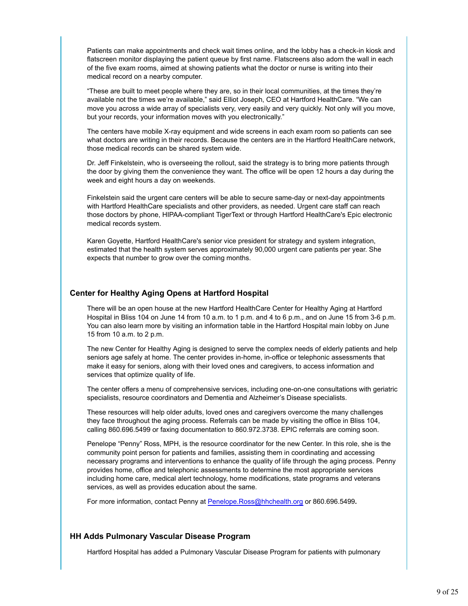Patients can make appointments and check wait times online, and the lobby has a check-in kiosk and flatscreen monitor displaying the patient queue by first name. Flatscreens also adorn the wall in each of the five exam rooms, aimed at showing patients what the doctor or nurse is writing into their medical record on a nearby computer.

"These are built to meet people where they are, so in their local communities, at the times they're available not the times we're available," said Elliot Joseph, CEO at Hartford HealthCare. "We can move you across a wide array of specialists very, very easily and very quickly. Not only will you move, but your records, your information moves with you electronically."

The centers have mobile X-ray equipment and wide screens in each exam room so patients can see what doctors are writing in their records. Because the centers are in the Hartford HealthCare network, those medical records can be shared system wide.

Dr. Jeff Finkelstein, who is overseeing the rollout, said the strategy is to bring more patients through the door by giving them the convenience they want. The office will be open 12 hours a day during the week and eight hours a day on weekends.

Finkelstein said the urgent care centers will be able to secure same-day or next-day appointments with Hartford HealthCare specialists and other providers, as needed. Urgent care staff can reach those doctors by phone, HIPAA-compliant TigerText or through Hartford HealthCare's Epic electronic medical records system.

Karen Goyette, Hartford HealthCare's senior vice president for strategy and system integration, estimated that the health system serves approximately 90,000 urgent care patients per year. She expects that number to grow over the coming months.

#### **Center for Healthy Aging Opens at Hartford Hospital**

There will be an open house at the new Hartford HealthCare Center for Healthy Aging at Hartford Hospital in Bliss 104 on June 14 from 10 a.m. to 1 p.m. and 4 to 6 p.m., and on June 15 from 3-6 p.m. You can also learn more by visiting an information table in the Hartford Hospital main lobby on June 15 from 10 a.m. to 2 p.m.

The new Center for Healthy Aging is designed to serve the complex needs of elderly patients and help seniors age safely at home. The center provides in-home, in-office or telephonic assessments that make it easy for seniors, along with their loved ones and caregivers, to access information and services that optimize quality of life.

The center offers a menu of comprehensive services, including one-on-one consultations with geriatric specialists, resource coordinators and Dementia and Alzheimer's Disease specialists.

These resources will help older adults, loved ones and caregivers overcome the many challenges they face throughout the aging process. Referrals can be made by visiting the office in Bliss 104, calling 860.696.5499 or faxing documentation to 860.972.3738. EPIC referrals are coming soon.

Penelope "Penny" Ross, MPH, is the resource coordinator for the new Center. In this role, she is the community point person for patients and families, assisting them in coordinating and accessing necessary programs and interventions to enhance the quality of life through the aging process. Penny provides home, office and telephonic assessments to determine the most appropriate services including home care, medical alert technology, home modifications, state programs and veterans services, as well as provides education about the same.

For more information, contact Penny at Penelope.Ross@hhchealth.org or 860.696.5499**.**

#### **HH Adds Pulmonary Vascular Disease Program**

Hartford Hospital has added a Pulmonary Vascular Disease Program for patients with pulmonary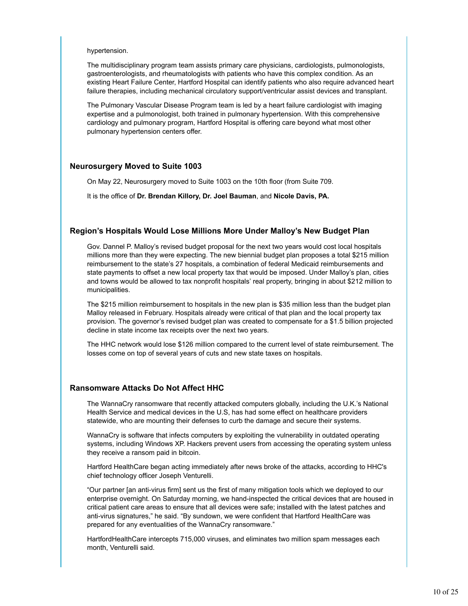#### hypertension.

The multidisciplinary program team assists primary care physicians, cardiologists, pulmonologists, gastroenterologists, and rheumatologists with patients who have this complex condition. As an existing Heart Failure Center, Hartford Hospital can identify patients who also require advanced heart failure therapies, including mechanical circulatory support/ventricular assist devices and transplant.

The Pulmonary Vascular Disease Program team is led by a heart failure cardiologist with imaging expertise and a pulmonologist, both trained in pulmonary hypertension. With this comprehensive cardiology and pulmonary program, Hartford Hospital is offering care beyond what most other pulmonary hypertension centers offer.

#### **Neurosurgery Moved to Suite 1003**

On May 22, Neurosurgery moved to Suite 1003 on the 10th floor (from Suite 709.

It is the office of **Dr. Brendan Killory, Dr. Joel Bauman**, and **Nicole Davis, PA.**

#### **Region's Hospitals Would Lose Millions More Under Malloy's New Budget Plan**

Gov. Dannel P. Malloy's revised budget proposal for the next two years would cost local hospitals millions more than they were expecting. The new biennial budget plan proposes a total \$215 million reimbursement to the state's 27 hospitals, a combination of federal Medicaid reimbursements and state payments to offset a new local property tax that would be imposed. Under Malloy's plan, cities and towns would be allowed to tax nonprofit hospitals' real property, bringing in about \$212 million to municipalities.

The \$215 million reimbursement to hospitals in the new plan is \$35 million less than the budget plan Malloy released in February. Hospitals already were critical of that plan and the local property tax provision. The governor's revised budget plan was created to compensate for a \$1.5 billion projected decline in state income tax receipts over the next two years.

The HHC network would lose \$126 million compared to the current level of state reimbursement. The losses come on top of several years of cuts and new state taxes on hospitals.

#### **Ransomware Attacks Do Not Affect HHC**

The WannaCry ransomware that recently attacked computers globally, including the U.K.'s National Health Service and medical devices in the U.S, has had some effect on healthcare providers statewide, who are mounting their defenses to curb the damage and secure their systems.

WannaCry is software that infects computers by exploiting the vulnerability in outdated operating systems, including Windows XP. Hackers prevent users from accessing the operating system unless they receive a ransom paid in bitcoin.

Hartford HealthCare began acting immediately after news broke of the attacks, according to HHC's chief technology officer Joseph Venturelli.

"Our partner [an anti-virus firm] sent us the first of many mitigation tools which we deployed to our enterprise overnight. On Saturday morning, we hand-inspected the critical devices that are housed in critical patient care areas to ensure that all devices were safe; installed with the latest patches and anti-virus signatures," he said. "By sundown, we were confident that Hartford HealthCare was prepared for any eventualities of the WannaCry ransomware."

HartfordHealthCare intercepts 715,000 viruses, and eliminates two million spam messages each month, Venturelli said.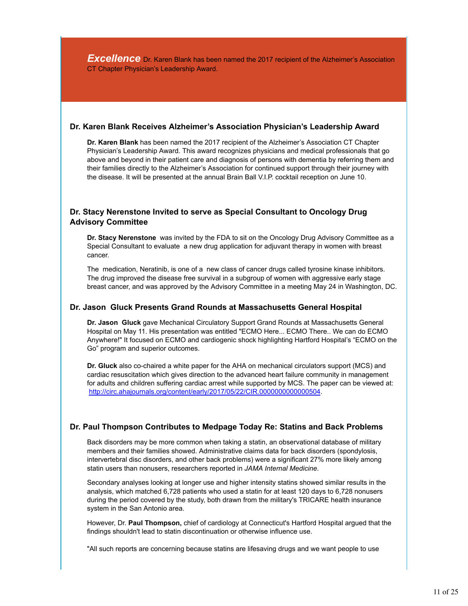**Excellence** Dr. Karen Blank has been named the 2017 recipient of the Alzheimer's Association CT Chapter Physician's Leadership Award.

#### **Dr. Karen Blank Receives Alzheimer's Association Physician's Leadership Award**

**Dr. Karen Blank** has been named the 2017 recipient of the Alzheimer's Association CT Chapter Physician's Leadership Award. This award recognizes physicians and medical professionals that go above and beyond in their patient care and diagnosis of persons with dementia by referring them and their families directly to the Alzheimer's Association for continued support through their journey with the disease. It will be presented at the annual Brain Ball V.I.P. cocktail reception on June 10.

#### **Dr. Stacy Nerenstone Invited to serve as Special Consultant to Oncology Drug Advisory Committee**

**Dr. Stacy Nerenstone** was invited by the FDA to sit on the Oncology Drug Advisory Committee as a Special Consultant to evaluate a new drug application for adjuvant therapy in women with breast cancer.

The medication, Neratinib, is one of a new class of cancer drugs called tyrosine kinase inhibitors. The drug improved the disease free survival in a subgroup of women with aggressive early stage breast cancer, and was approved by the Advisory Committee in a meeting May 24 in Washington, DC.

#### **Dr. Jason Gluck Presents Grand Rounds at Massachusetts General Hospital**

**Dr. Jason Gluck** gave Mechanical Circulatory Support Grand Rounds at Massachusetts General Hospital on May 11. His presentation was entitled "ECMO Here... ECMO There.. We can do ECMO Anywhere!" It focused on ECMO and cardiogenic shock highlighting Hartford Hospital's "ECMO on the Go" program and superior outcomes.

**Dr. Gluck** also co-chaired a white paper for the AHA on mechanical circulators support (MCS) and cardiac resuscitation which gives direction to the advanced heart failure community in management for adults and children suffering cardiac arrest while supported by MCS. The paper can be viewed at: http://circ.ahajournals.org/content/early/2017/05/22/CIR.0000000000000504.

#### **Dr. Paul Thompson Contributes to Medpage Today Re: Statins and Back Problems**

Back disorders may be more common when taking a statin, an observational database of military members and their families showed. Administrative claims data for back disorders (spondylosis, intervertebral disc disorders, and other back problems) were a significant 27% more likely among statin users than nonusers, researchers reported in *JAMA Internal Medicine*.

Secondary analyses looking at longer use and higher intensity statins showed similar results in the analysis, which matched 6,728 patients who used a statin for at least 120 days to 6,728 nonusers during the period covered by the study, both drawn from the military's TRICARE health insurance system in the San Antonio area.

However, Dr. **Paul Thompson,** chief of cardiology at Connecticut's Hartford Hospital argued that the findings shouldn't lead to statin discontinuation or otherwise influence use.

"All such reports are concerning because statins are lifesaving drugs and we want people to use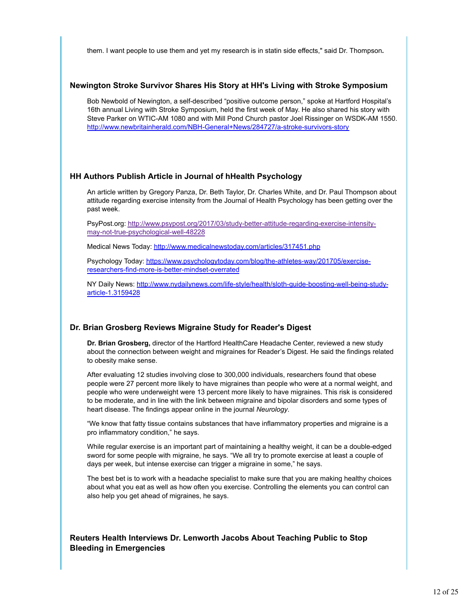them. I want people to use them and yet my research is in statin side effects," said Dr. Thompson**.**

#### **Newington Stroke Survivor Shares His Story at HH's Living with Stroke Symposium**

Bob Newbold of Newington, a self-described "positive outcome person," spoke at Hartford Hospital's 16th annual Living with Stroke Symposium, held the first week of May. He also shared his story with Steve Parker on WTIC-AM 1080 and with Mill Pond Church pastor Joel Rissinger on WSDK-AM 1550. http://www.newbritainherald.com/NBH-General+News/284727/a-stroke-survivors-story

#### **HH Authors Publish Article in Journal of hHealth Psychology**

An article written by Gregory Panza, Dr. Beth Taylor, Dr. Charles White, and Dr. Paul Thompson about attitude regarding exercise intensity from the Journal of Health Psychology has been getting over the past week.

PsyPost.org: http://www.psypost.org/2017/03/study-better-attitude-regarding-exercise-intensitymay-not-true-psychological-well-48228

Medical News Today: http://www.medicalnewstoday.com/articles/317451.php

Psychology Today: https://www.psychologytoday.com/blog/the-athletes-way/201705/exerciseresearchers-find-more-is-better-mindset-overrated

NY Daily News: http://www.nydailynews.com/life-style/health/sloth-guide-boosting-well-being-studyarticle-1.3159428

#### **Dr. Brian Grosberg Reviews Migraine Study for Reader's Digest**

**Dr. Brian Grosberg,** director of the Hartford HealthCare Headache Center, reviewed a new study about the connection between weight and migraines for Reader's Digest. He said the findings related to obesity make sense.

After evaluating 12 studies involving close to 300,000 individuals, researchers found that obese people were 27 percent more likely to have migraines than people who were at a normal weight, and people who were underweight were 13 percent more likely to have migraines. This risk is considered to be moderate, and in line with the link between migraine and bipolar disorders and some types of heart disease. The findings appear online in the journal *Neurology*.

"We know that fatty tissue contains substances that have inflammatory properties and migraine is a pro inflammatory condition," he says.

While regular exercise is an important part of maintaining a healthy weight, it can be a double-edged sword for some people with migraine, he says. "We all try to promote exercise at least a couple of days per week, but intense exercise can trigger a migraine in some," he says.

The best bet is to work with a headache specialist to make sure that you are making healthy choices about what you eat as well as how often you exercise. Controlling the elements you can control can also help you get ahead of migraines, he says.

**Reuters Health Interviews Dr. Lenworth Jacobs About Teaching Public to Stop Bleeding in Emergencies**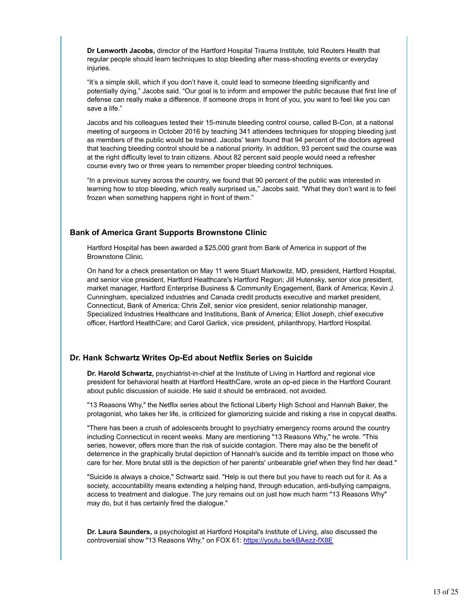**Dr Lenworth Jacobs,** director of the Hartford Hospital Trauma Institute, told Reuters Health that regular people should learn techniques to stop bleeding after mass-shooting events or everyday injuries.

"It's a simple skill, which if you don't have it, could lead to someone bleeding significantly and potentially dying," Jacobs said. "Our goal is to inform and empower the public because that first line of defense can really make a difference. If someone drops in front of you, you want to feel like you can save a life."

Jacobs and his colleagues tested their 15-minute bleeding control course, called B-Con, at a national meeting of surgeons in October 2016 by teaching 341 attendees techniques for stopping bleeding just as members of the public would be trained. Jacobs' team found that 94 percent of the doctors agreed that teaching bleeding control should be a national priority. In addition, 93 percent said the course was at the right difficulty level to train citizens. About 82 percent said people would need a refresher course every two or three years to remember proper bleeding control techniques.

"In a previous survey across the country, we found that 90 percent of the public was interested in learning how to stop bleeding, which really surprised us," Jacobs said. "What they don't want is to feel frozen when something happens right in front of them."

#### **Bank of America Grant Supports Brownstone Clinic**

Hartford Hospital has been awarded a \$25,000 grant from Bank of America in support of the Brownstone Clinic.

On hand for a check presentation on May 11 were Stuart Markowitz, MD, president, Hartford Hospital, and senior vice president, Hartford Healthcare's Hartford Region; Jill Hutensky, senior vice president, market manager, Hartford Enterprise Business & Community Engagement, Bank of America; Kevin J. Cunningham, specialized industries and Canada credit products executive and market president, Connecticut, Bank of America; Chris Zell, senior vice president, senior relationship manager, Specialized Industries Healthcare and Institutions, Bank of America; Elliot Joseph, chief executive officer, Hartford HealthCare; and Carol Garlick, vice president, philanthropy, Hartford Hospital.

#### **Dr. Hank Schwartz Writes Op-Ed about Netflix Series on Suicide**

**Dr. Harold Schwartz,** psychiatrist-in-chief at the Institute of Living in Hartford and regional vice president for behavioral health at Hartford HealthCare, wrote an op-ed piece in the Hartford Courant about public discussion of suicide. He said it should be embraced, not avoided.

"13 Reasons Why," the Netflix series about the fictional Liberty High School and Hannah Baker, the protagonist, who takes her life, is criticized for glamorizing suicide and risking a rise in copycat deaths.

"There has been a crush of adolescents brought to psychiatry emergency rooms around the country including Connecticut in recent weeks. Many are mentioning "13 Reasons Why," he wrote. "This series, however, offers more than the risk of suicide contagion. There may also be the benefit of deterrence in the graphically brutal depiction of Hannah's suicide and its terrible impact on those who care for her. More brutal still is the depiction of her parents' unbearable grief when they find her dead."

"Suicide is always a choice," Schwartz said. "Help is out there but you have to reach out for it. As a society, accountability means extending a helping hand, through education, anti-bullying campaigns, access to treatment and dialogue. The jury remains out on just how much harm "13 Reasons Why" may do, but it has certainly fired the dialogue."

**Dr. Laura Saunders,** a psychologist at Hartford Hospital's Institute of Living, also discussed the controversial show "13 Reasons Why," on FOX 61: https://youtu.be/kBAezz-fX8E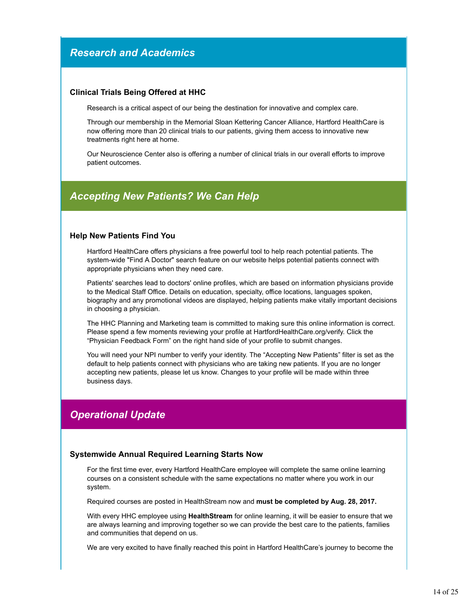## *Research and Academics*

#### **Clinical Trials Being Offered at HHC**

Research is a critical aspect of our being the destination for innovative and complex care.

Through our membership in the Memorial Sloan Kettering Cancer Alliance, Hartford HealthCare is now offering more than 20 clinical trials to our patients, giving them access to innovative new treatments right here at home.

Our Neuroscience Center also is offering a number of clinical trials in our overall efforts to improve patient outcomes.

## *Accepting New Patients? We Can Help*

#### **Help New Patients Find You**

Hartford HealthCare offers physicians a free powerful tool to help reach potential patients. The system-wide "Find A Doctor" search feature on our website helps potential patients connect with appropriate physicians when they need care.

Patients' searches lead to doctors' online profiles, which are based on information physicians provide to the Medical Staff Office. Details on education, specialty, office locations, languages spoken, biography and any promotional videos are displayed, helping patients make vitally important decisions in choosing a physician.

The HHC Planning and Marketing team is committed to making sure this online information is correct. Please spend a few moments reviewing your profile at HartfordHealthCare.org/verify. Click the "Physician Feedback Form" on the right hand side of your profile to submit changes.

You will need your NPI number to verify your identity. The "Accepting New Patients" filter is set as the default to help patients connect with physicians who are taking new patients. If you are no longer accepting new patients, please let us know. Changes to your profile will be made within three business days.

## *Operational Update*

#### **Systemwide Annual Required Learning Starts Now**

For the first time ever, every Hartford HealthCare employee will complete the same online learning courses on a consistent schedule with the same expectations no matter where you work in our system.

Required courses are posted in HealthStream now and **must be completed by Aug. 28, 2017.**

With every HHC employee using **HealthStream** for online learning, it will be easier to ensure that we are always learning and improving together so we can provide the best care to the patients, families and communities that depend on us.

We are very excited to have finally reached this point in Hartford HealthCare's journey to become the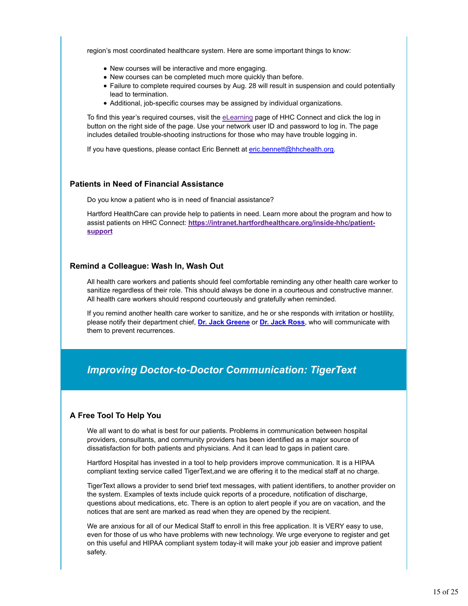region's most coordinated healthcare system. Here are some important things to know:

- New courses will be interactive and more engaging.
- New courses can be completed much more quickly than before.
- Failure to complete required courses by Aug. 28 will result in suspension and could potentially lead to termination.
- Additional, job-specific courses may be assigned by individual organizations.

To find this year's required courses, visit the eLearning page of HHC Connect and click the log in button on the right side of the page. Use your network user ID and password to log in. The page includes detailed trouble-shooting instructions for those who may have trouble logging in.

If you have questions, please contact Eric Bennett at eric.bennett@hhchealth.org.

#### **Patients in Need of Financial Assistance**

Do you know a patient who is in need of financial assistance?

Hartford HealthCare can provide help to patients in need. Learn more about the program and how to assist patients on HHC Connect: **https://intranet.hartfordhealthcare.org/inside-hhc/patientsupport**

#### **Remind a Colleague: Wash In, Wash Out**

All health care workers and patients should feel comfortable reminding any other health care worker to sanitize regardless of their role. This should always be done in a courteous and constructive manner. All health care workers should respond courteously and gratefully when reminded.

If you remind another health care worker to sanitize, and he or she responds with irritation or hostility, please notify their department chief, **Dr. Jack Greene** or **Dr. Jack Ross**, who will communicate with them to prevent recurrences.

## *Improving Doctor-to-Doctor Communication: TigerText*

#### **A Free Tool To Help You**

We all want to do what is best for our patients. Problems in communication between hospital providers, consultants, and community providers has been identified as a major source of dissatisfaction for both patients and physicians. And it can lead to gaps in patient care.

Hartford Hospital has invested in a tool to help providers improve communication. It is a HIPAA compliant texting service called TigerText,and we are offering it to the medical staff at no charge.

TigerText allows a provider to send brief text messages, with patient identifiers, to another provider on the system. Examples of texts include quick reports of a procedure, notification of discharge, questions about medications, etc. There is an option to alert people if you are on vacation, and the notices that are sent are marked as read when they are opened by the recipient.

We are anxious for all of our Medical Staff to enroll in this free application. It is VERY easy to use, even for those of us who have problems with new technology. We urge everyone to register and get on this useful and HIPAA compliant system today-it will make your job easier and improve patient safety.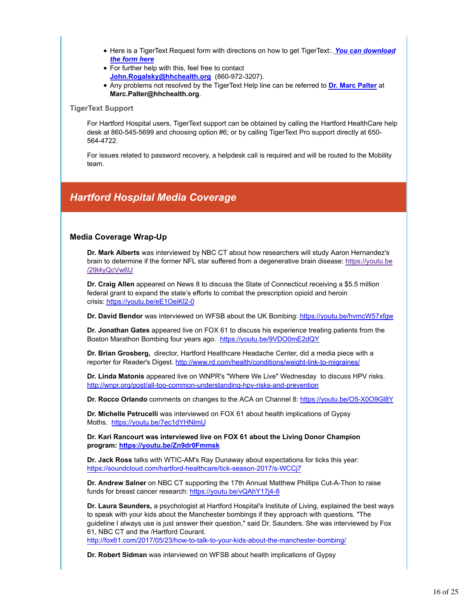- Here is a TigerText Request form with directions on how to get TigerText:. *You can download the form here*
- For further help with this, feel free to contact **John.Rogalsky@hhchealth.org** (860-972-3207).
- Any problems not resolved by the TigerText Help line can be referred to **Dr. Marc Palter** at **Marc.Palter@hhchealth.org**.

#### **TigerText Support**

For Hartford Hospital users, TigerText support can be obtained by calling the Hartford HealthCare help desk at 860-545-5699 and choosing option #6; or by calling TigerText Pro support directly at 650- 564-4722.

For issues related to password recovery, a helpdesk call is required and will be routed to the Mobility team.

## *Hartford Hospital Media Coverage*

#### **Media Coverage Wrap-Up**

**Dr. Mark Alberts** was interviewed by NBC CT about how researchers will study Aaron Hernandez's brain to determine if the former NFL star suffered from a degenerative brain disease: https://youtu.be /29t4yQcVw6U

**Dr. Craig Allen** appeared on News 8 to discuss the State of Connecticut receiving a \$5.5 million federal grant to expand the state's efforts to combat the prescription opioid and heroin crisis: https://youtu.be/eE1OeiKl2-0

**Dr. David Bendor** was interviewed on WFSB about the UK Bombing: https://youtu.be/hvmcW57xfgw

**Dr. Jonathan Gates** appeared live on FOX 61 to discuss his experience treating patients from the Boston Marathon Bombing four years ago. https://youtu.be/9VDO0mE2dQY

**Dr. Brian Grosberg,** director, Hartford Healthcare Headache Center, did a media piece with a reporter for Reader's Digest. http://www.rd.com/health/conditions/weight-link-to-migraines/

**Dr. Linda Matonis** appeared live on WNPR's "Where We Live" Wednesday to discuss HPV risks. http://wnpr.org/post/all-too-common-understanding-hpv-risks-and-prevention

**Dr. Rocco Orlando** comments on changes to the ACA on Channel 8: https://youtu.be/O5-X0O9Gl8Y

**Dr. Michelle Petrucelli** was interviewed on FOX 61 about health implications of Gypsy Moths. https://youtu.be/7ec1dYHNlmU

**Dr. Kari Rancourt was interviewed live on FOX 61 about the Living Donor Champion program: https://youtu.be/Zn9dr0Fmmsk**

**Dr. Jack Ross** talks with WTIC-AM's Ray Dunaway about expectations for ticks this year: https://soundcloud.com/hartford-healthcare/tick-season-2017/s-WCCj7

**Dr. Andrew Salner** on NBC CT supporting the 17th Annual Matthew Phillips Cut-A-Thon to raise funds for breast cancer research: https://youtu.be/vQAhY17j4-8

**Dr. Laura Saunders,** a psychologist at Hartford Hospital's Institute of Living, explained the best ways to speak with your kids about the Manchester bombings if they approach with questions. "The guideline I always use is just answer their question," said Dr. Saunders. She was interviewed by Fox 61, NBC CT and the /Hartford Courant.

http://fox61.com/2017/05/23/how-to-talk-to-your-kids-about-the-manchester-bombing/

**Dr. Robert Sidman** was interviewed on WFSB about health implications of Gypsy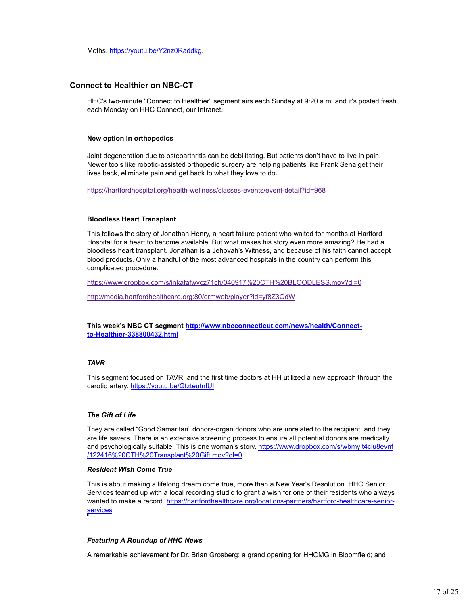Moths. https://youtu.be/Y2nz0Raddkg.

#### **Connect to Healthier on NBC-CT**

HHC's two-minute "Connect to Healthier" segment airs each Sunday at 9:20 a.m. and it's posted fresh each Monday on HHC Connect, our Intranet.

#### **New option in orthopedics**

Joint degeneration due to osteoarthritis can be debilitating. But patients don't have to live in pain. Newer tools like robotic-assisted orthopedic surgery are helping patients like Frank Sena get their lives back, eliminate pain and get back to what they love to do**.**

https://hartfordhospital.org/health-wellness/classes-events/event-detail?id=968

#### **Bloodless Heart Transplant**

This follows the story of Jonathan Henry, a heart failure patient who waited for months at Hartford Hospital for a heart to become available. But what makes his story even more amazing? He had a bloodless heart transplant. Jonathan is a Jehovah's Witness, and because of his faith cannot accept blood products. Only a handful of the most advanced hospitals in the country can perform this complicated procedure.

https://www.dropbox.com/s/jnkafafwycz71ch/040917%20CTH%20BLOODLESS.mov?dl=0

http://media.hartfordhealthcare.org:80/ermweb/player?id=yf8Z3OdW

**This week's NBC CT segment http://www.nbcconnecticut.com/news/health/Connectto-Healthier-338800432.html**

#### *TAVR*

This segment focused on TAVR, and the first time doctors at HH utilized a new approach through the carotid artery. https://youtu.be/GtzteutnfUI

#### *The Gift of Life*

They are called "Good Samaritan" donors-organ donors who are unrelated to the recipient, and they are life savers. There is an extensive screening process to ensure all potential donors are medically and psychologically suitable. This is one woman's story. https://www.dropbox.com/s/wbmyjt4ciu8evnf /122416%20CTH%20Transplant%20Gift.mov?dl=0

#### *Resident Wish Come True*

This is about making a lifelong dream come true, more than a New Year's Resolution. HHC Senior Services teamed up with a local recording studio to grant a wish for one of their residents who always wanted to make a record. https://hartfordhealthcare.org/locations-partners/hartford-healthcare-seniorservices

#### *Featuring A Roundup of HHC News*

A remarkable achievement for Dr. Brian Grosberg; a grand opening for HHCMG in Bloomfield; and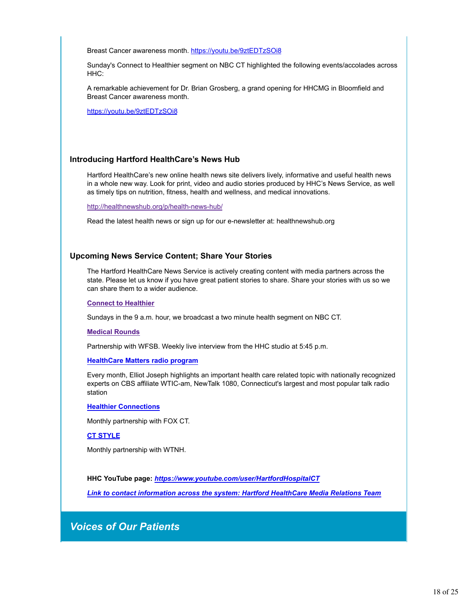Breast Cancer awareness month. https://youtu.be/9ztEDTzSOi8

Sunday's Connect to Healthier segment on NBC CT highlighted the following events/accolades across HHC:

A remarkable achievement for Dr. Brian Grosberg, a grand opening for HHCMG in Bloomfield and Breast Cancer awareness month.

https://youtu.be/9ztEDTzSOi8

#### **Introducing Hartford HealthCare's News Hub**

Hartford HealthCare's new online health news site delivers lively, informative and useful health news in a whole new way. Look for print, video and audio stories produced by HHC's News Service, as well as timely tips on nutrition, fitness, health and wellness, and medical innovations.

http://healthnewshub.org/p/health-news-hub/

Read the latest health news or sign up for our e-newsletter at: healthnewshub.org

#### **Upcoming News Service Content; Share Your Stories**

The Hartford HealthCare News Service is actively creating content with media partners across the state. Please let us know if you have great patient stories to share. Share your stories with us so we can share them to a wider audience.

**Connect to Healthier**

Sundays in the 9 a.m. hour, we broadcast a two minute health segment on NBC CT.

#### **Medical Rounds**

Partnership with WFSB. Weekly live interview from the HHC studio at 5:45 p.m.

#### **HealthCare Matters radio program**

Every month, Elliot Joseph highlights an important health care related topic with nationally recognized experts on CBS affiliate WTIC-am, NewTalk 1080, Connecticut's largest and most popular talk radio station

#### **Healthier Connections**

Monthly partnership with FOX CT.

#### **CT STYLE**

Monthly partnership with WTNH.

**HHC YouTube page:** *https://www.youtube.com/user/HartfordHospitalCT*

*Link to contact information across the system: Hartford HealthCare Media Relations Team*

*Voices of Our Patients*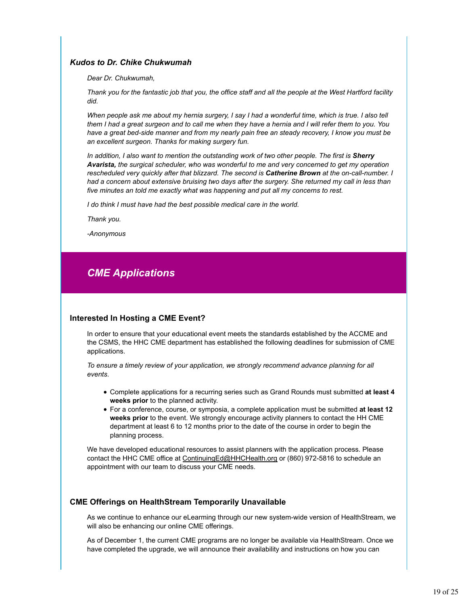#### *Kudos to Dr. Chike Chukwumah*

*Dear Dr. Chukwumah,*

*Thank you for the fantastic job that you, the office staff and all the people at the West Hartford facility did.*

*When people ask me about my hernia surgery, I say I had a wonderful time, which is true. I also tell them I had a great surgeon and to call me when they have a hernia and I will refer them to you. You have a great bed-side manner and from my nearly pain free an steady recovery, I know you must be an excellent surgeon. Thanks for making surgery fun.*

*In addition, I also want to mention the outstanding work of two other people. The first is Sherry Avarista, the surgical scheduler, who was wonderful to me and very concerned to get my operation rescheduled very quickly after that blizzard. The second is Catherine Brown at the on-call-number. I had a concern about extensive bruising two days after the surgery. She returned my call in less than five minutes an told me exactly what was happening and put all my concerns to rest.*

*I do think I must have had the best possible medical care in the world.*

*Thank you.*

*-Anonymous*

## *CME Applications*

#### **Interested In Hosting a CME Event?**

In order to ensure that your educational event meets the standards established by the ACCME and the CSMS, the HHC CME department has established the following deadlines for submission of CME applications.

*To ensure a timely review of your application, we strongly recommend advance planning for all events.* 

- Complete applications for a recurring series such as Grand Rounds must submitted **at least 4 weeks prior** to the planned activity.
- For a conference, course, or symposia, a complete application must be submitted **at least 12 weeks prior** to the event. We strongly encourage activity planners to contact the HH CME department at least 6 to 12 months prior to the date of the course in order to begin the planning process.

We have developed educational resources to assist planners with the application process. Please contact the HHC CME office at ContinuingEd@HHCHealth.org or (860) 972-5816 to schedule an appointment with our team to discuss your CME needs.

#### **CME Offerings on HealthStream Temporarily Unavailable**

As we continue to enhance our eLearming through our new system-wide version of HealthStream, we will also be enhancing our online CME offerings.

As of December 1, the current CME programs are no longer be available via HealthStream. Once we have completed the upgrade, we will announce their availability and instructions on how you can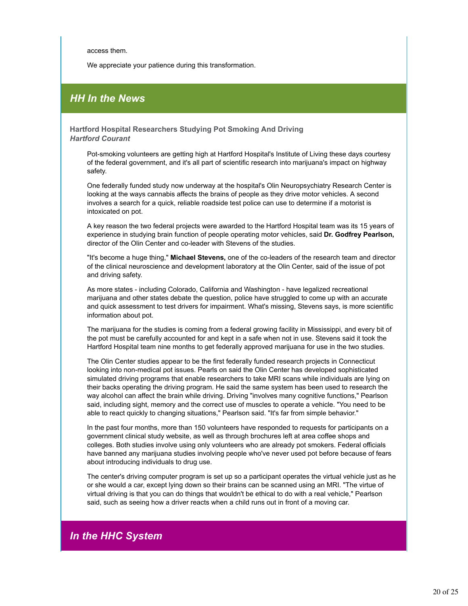access them.

We appreciate your patience during this transformation.

## *HH In the News*

**Hartford Hospital Researchers Studying Pot Smoking And Driving** *Hartford Courant*

Pot-smoking volunteers are getting high at Hartford Hospital's Institute of Living these days courtesy of the federal government, and it's all part of scientific research into marijuana's impact on highway safety.

One federally funded study now underway at the hospital's Olin Neuropsychiatry Research Center is looking at the ways cannabis affects the brains of people as they drive motor vehicles. A second involves a search for a quick, reliable roadside test police can use to determine if a motorist is intoxicated on pot.

A key reason the two federal projects were awarded to the Hartford Hospital team was its 15 years of experience in studying brain function of people operating motor vehicles, said **Dr. Godfrey Pearlson,** director of the Olin Center and co-leader with Stevens of the studies.

"It's become a huge thing," **Michael Stevens,** one of the co-leaders of the research team and director of the clinical neuroscience and development laboratory at the Olin Center, said of the issue of pot and driving safety.

As more states - including Colorado, California and Washington - have legalized recreational marijuana and other states debate the question, police have struggled to come up with an accurate and quick assessment to test drivers for impairment. What's missing, Stevens says, is more scientific information about pot.

The marijuana for the studies is coming from a federal growing facility in Mississippi, and every bit of the pot must be carefully accounted for and kept in a safe when not in use. Stevens said it took the Hartford Hospital team nine months to get federally approved marijuana for use in the two studies.

The Olin Center studies appear to be the first federally funded research projects in Connecticut looking into non-medical pot issues. Pearls on said the Olin Center has developed sophisticated simulated driving programs that enable researchers to take MRI scans while individuals are lying on their backs operating the driving program. He said the same system has been used to research the way alcohol can affect the brain while driving. Driving "involves many cognitive functions," Pearlson said, including sight, memory and the correct use of muscles to operate a vehicle. "You need to be able to react quickly to changing situations," Pearlson said. "It's far from simple behavior."

In the past four months, more than 150 volunteers have responded to requests for participants on a government clinical study website, as well as through brochures left at area coffee shops and colleges. Both studies involve using only volunteers who are already pot smokers. Federal officials have banned any marijuana studies involving people who've never used pot before because of fears about introducing individuals to drug use.

The center's driving computer program is set up so a participant operates the virtual vehicle just as he or she would a car, except lying down so their brains can be scanned using an MRI. "The virtue of virtual driving is that you can do things that wouldn't be ethical to do with a real vehicle," Pearlson said, such as seeing how a driver reacts when a child runs out in front of a moving car.

## *In the HHC System*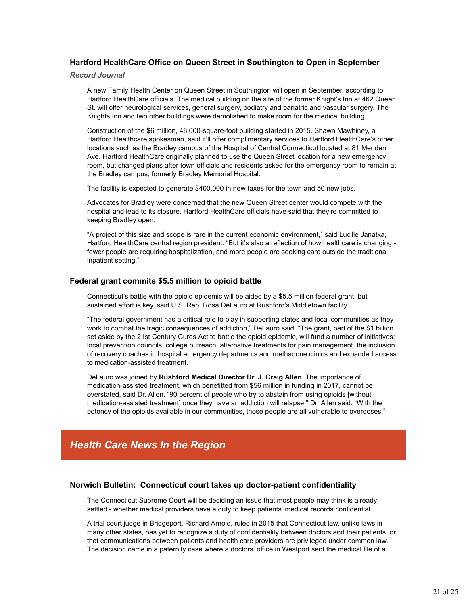#### **Hartford HealthCare Office on Queen Street in Southington to Open in September**

*Record Journal*

A new Family Health Center on Queen Street in Southington will open in September, according to Hartford HealthCare officials. The medical building on the site of the former Knight's Inn at 462 Queen St. will offer neurological services, general surgery, podiatry and bariatric and vascular surgery. The Knights Inn and two other buildings were demolished to make room for the medical building

Construction of the \$6 million, 48,000-square-foot building started in 2015. Shawn Mawhiney, a Hartford Healthcare spokesman, said it'll offer complimentary services to Hartford HealthCare's other locations such as the Bradley campus of the Hospital of Central Connecticut located at 81 Meriden Ave. Hartford HealthCare originally planned to use the Queen Street location for a new emergency room, but changed plans after town officials and residents asked for the emergency room to remain at the Bradley campus, formerly Bradley Memorial Hospital.

The facility is expected to generate \$400,000 in new taxes for the town and 50 new jobs.

Advocates for Bradley were concerned that the new Queen Street center would compete with the hospital and lead to its closure. Hartford HealthCare officials have said that they're committed to keeping Bradley open.

"A project of this size and scope is rare in the current economic environment," said Lucille Janatka, Hartford HealthCare central region president. "But it's also a reflection of how healthcare is changing fewer people are requiring hospitalization, and more people are seeking care outside the traditional inpatient setting."

#### **Federal grant commits \$5.5 million to opioid battle**

Connecticut's battle with the opioid epidemic will be aided by a \$5.5 million federal grant, but sustained effort is key, said U.S. Rep. Rosa DeLauro at Rushford's Middletown facility.

"The federal government has a critical role to play in supporting states and local communities as they work to combat the tragic consequences of addiction," DeLauro said. "The grant, part of the \$1 billion set aside by the 21st Century Cures Act to battle the opioid epidemic, will fund a number of initiatives: local prevention councils, college outreach, alternative treatments for pain management, the inclusion of recovery coaches in hospital emergency departments and methadone clinics and expanded access to medication-assisted treatment.

DeLauro was joined by **Rushford Medical Director Dr. J. Craig Allen**. The importance of medication-assisted treatment, which benefitted from \$56 million in funding in 2017, cannot be overstated, said Dr. Allen. "90 percent of people who try to abstain from using opioids [without medication-assisted treatment] once they have an addiction will relapse," Dr. Allen said. "With the potency of the opioids available in our communities, those people are all vulnerable to overdoses."

## *Health Care News In the Region*

#### **Norwich Bulletin: Connecticut court takes up doctor-patient confidentiality**

The Connecticut Supreme Court will be deciding an issue that most people may think is already settled - whether medical providers have a duty to keep patients' medical records confidential.

A trial court judge in Bridgeport, Richard Arnold, ruled in 2015 that Connecticut law, unlike laws in many other states, has yet to recognize a duty of confidentiality between doctors and their patients, or that communications between patients and health care providers are privileged under common law. The decision came in a paternity case where a doctors' office in Westport sent the medical file of a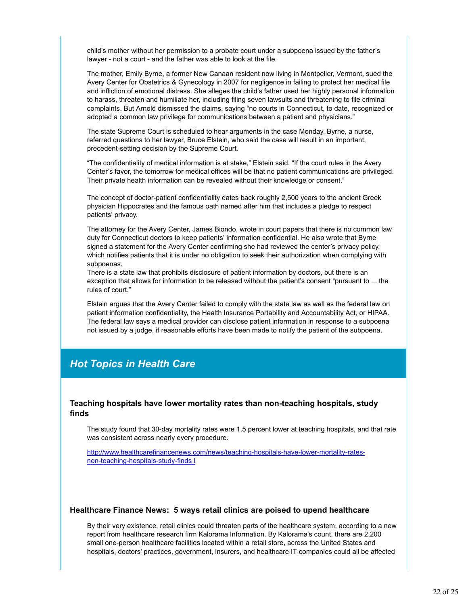child's mother without her permission to a probate court under a subpoena issued by the father's lawyer - not a court - and the father was able to look at the file.

The mother, Emily Byrne, a former New Canaan resident now living in Montpelier, Vermont, sued the Avery Center for Obstetrics & Gynecology in 2007 for negligence in failing to protect her medical file and infliction of emotional distress. She alleges the child's father used her highly personal information to harass, threaten and humiliate her, including filing seven lawsuits and threatening to file criminal complaints. But Arnold dismissed the claims, saying "no courts in Connecticut, to date, recognized or adopted a common law privilege for communications between a patient and physicians."

The state Supreme Court is scheduled to hear arguments in the case Monday. Byrne, a nurse, referred questions to her lawyer, Bruce Elstein, who said the case will result in an important, precedent-setting decision by the Supreme Court.

"The confidentiality of medical information is at stake," Elstein said. "If the court rules in the Avery Center's favor, the tomorrow for medical offices will be that no patient communications are privileged. Their private health information can be revealed without their knowledge or consent."

The concept of doctor-patient confidentiality dates back roughly 2,500 years to the ancient Greek physician Hippocrates and the famous oath named after him that includes a pledge to respect patients' privacy.

The attorney for the Avery Center, James Biondo, wrote in court papers that there is no common law duty for Connecticut doctors to keep patients' information confidential. He also wrote that Byrne signed a statement for the Avery Center confirming she had reviewed the center's privacy policy, which notifies patients that it is under no obligation to seek their authorization when complying with subpoenas.

There is a state law that prohibits disclosure of patient information by doctors, but there is an exception that allows for information to be released without the patient's consent "pursuant to ... the rules of court."

Elstein argues that the Avery Center failed to comply with the state law as well as the federal law on patient information confidentiality, the Health Insurance Portability and Accountability Act, or HIPAA. The federal law says a medical provider can disclose patient information in response to a subpoena not issued by a judge, if reasonable efforts have been made to notify the patient of the subpoena.

## *Hot Topics in Health Care*

#### **Teaching hospitals have lower mortality rates than non-teaching hospitals, study finds**

The study found that 30-day mortality rates were 1.5 percent lower at teaching hospitals, and that rate was consistent across nearly every procedure.

http://www.healthcarefinancenews.com/news/teaching-hospitals-have-lower-mortality-ratesnon-teaching-hospitals-study-finds l

#### **Healthcare Finance News: 5 ways retail clinics are poised to upend healthcare**

By their very existence, retail clinics could threaten parts of the healthcare system, according to a new report from healthcare research firm Kalorama Information. By Kalorama's count, there are 2,200 small one-person healthcare facilities located within a retail store, across the United States and hospitals, doctors' practices, government, insurers, and healthcare IT companies could all be affected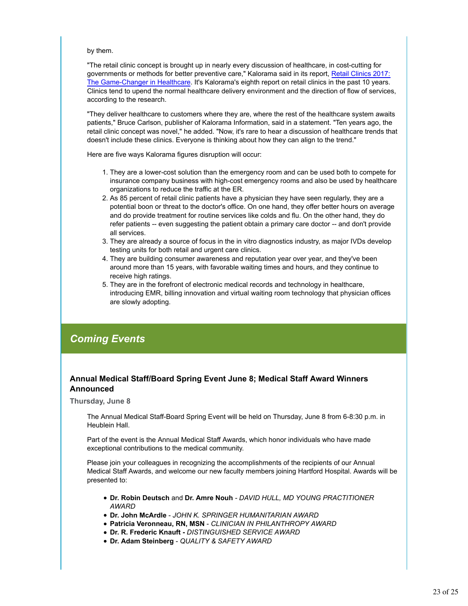#### by them.

"The retail clinic concept is brought up in nearly every discussion of healthcare, in cost-cutting for governments or methods for better preventive care," Kalorama said in its report, Retail Clinics 2017: The Game-Changer in Healthcare. It's Kalorama's eighth report on retail clinics in the past 10 years. Clinics tend to upend the normal healthcare delivery environment and the direction of flow of services, according to the research.

"They deliver healthcare to customers where they are, where the rest of the healthcare system awaits patients," Bruce Carlson, publisher of Kalorama Information, said in a statement. "Ten years ago, the retail clinic concept was novel," he added. "Now, it's rare to hear a discussion of healthcare trends that doesn't include these clinics. Everyone is thinking about how they can align to the trend."

Here are five ways Kalorama figures disruption will occur:

- 1. They are a lower-cost solution than the emergency room and can be used both to compete for insurance company business with high-cost emergency rooms and also be used by healthcare organizations to reduce the traffic at the ER.
- 2. As 85 percent of retail clinic patients have a physician they have seen regularly, they are a potential boon or threat to the doctor's office. On one hand, they offer better hours on average and do provide treatment for routine services like colds and flu. On the other hand, they do refer patients -- even suggesting the patient obtain a primary care doctor -- and don't provide all services.
- 3. They are already a source of focus in the in vitro diagnostics industry, as major IVDs develop testing units for both retail and urgent care clinics.
- 4. They are building consumer awareness and reputation year over year, and they've been around more than 15 years, with favorable waiting times and hours, and they continue to receive high ratings.
- 5. They are in the forefront of electronic medical records and technology in healthcare, introducing EMR, billing innovation and virtual waiting room technology that physician offices are slowly adopting.

## *Coming Events*

#### **Annual Medical Staff/Board Spring Event June 8; Medical Staff Award Winners Announced**

**Thursday, June 8**

The Annual Medical Staff-Board Spring Event will be held on Thursday, June 8 from 6-8:30 p.m. in Heublein Hall.

Part of the event is the Annual Medical Staff Awards, which honor individuals who have made exceptional contributions to the medical community.

Please join your colleagues in recognizing the accomplishments of the recipients of our Annual Medical Staff Awards, and welcome our new faculty members joining Hartford Hospital. Awards will be presented to:

- **Dr. Robin Deutsch** and **Dr. Amre Nouh** *DAVID HULL, MD YOUNG PRACTITIONER AWARD*
- **Dr. John McArdle** *JOHN K. SPRINGER HUMANITARIAN AWARD*
- **Patricia Veronneau, RN, MSN** *CLINICIAN IN PHILANTHROPY AWARD*
- **Dr. R. Frederic Knauft** *DISTINGUISHED SERVICE AWARD*
- **Dr. Adam Steinberg** *QUALITY & SAFETY AWARD*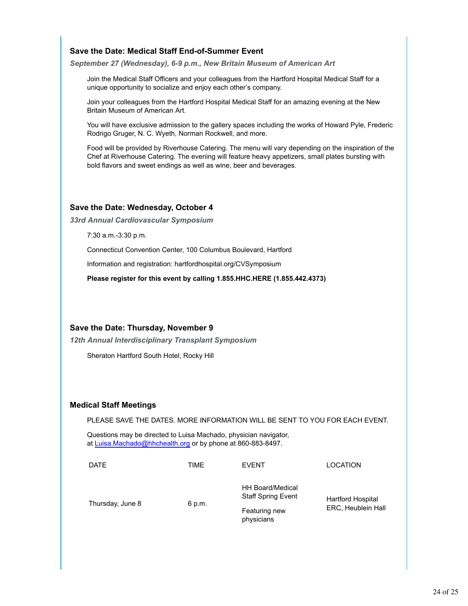#### **Save the Date: Medical Staff End-of-Summer Event**

*September 27 (Wednesday), 6-9 p.m., New Britain Museum of American Art*

Join the Medical Staff Officers and your colleagues from the Hartford Hospital Medical Staff for a unique opportunity to socialize and enjoy each other's company.

Join your colleagues from the Hartford Hospital Medical Staff for an amazing evening at the New Britain Museum of American Art.

You will have exclusive admission to the gallery spaces including the works of Howard Pyle, Frederic Rodrigo Gruger, N. C. Wyeth, Norman Rockwell, and more.

Food will be provided by Riverhouse Catering. The menu will vary depending on the inspiration of the Chef at Riverhouse Catering. The evening will feature heavy appetizers, small plates bursting with bold flavors and sweet endings as well as wine, beer and beverages.

#### **Save the Date: Wednesday, October 4**

*33rd Annual Cardiovascular Symposium*

7:30 a.m.-3:30 p.m.

Connecticut Convention Center, 100 Columbus Boulevard, Hartford

Information and registration: hartfordhospital.org/CVSymposium

**Please register for this event by calling 1.855.HHC.HERE (1.855.442.4373)**

#### **Save the Date: Thursday, November 9**

*12th Annual Interdisciplinary Transplant Symposium*

Sheraton Hartford South Hotel, Rocky Hill

#### **Medical Staff Meetings**

PLEASE SAVE THE DATES. MORE INFORMATION WILL BE SENT TO YOU FOR EACH EVENT.

Questions may be directed to Luisa Machado, physician navigator, at Luisa.Machado@hhchealth.org or by phone at 860-883-8497.

| <b>DATE</b>      | TIME   | <b>EVENT</b>                                         | <b>LOCATION</b>                                |
|------------------|--------|------------------------------------------------------|------------------------------------------------|
| Thursday, June 8 | 6 p.m. | <b>HH Board/Medical</b><br><b>Staff Spring Event</b> | <b>Hartford Hospital</b><br>ERC, Heublein Hall |
|                  |        | Featuring new<br>physicians                          |                                                |